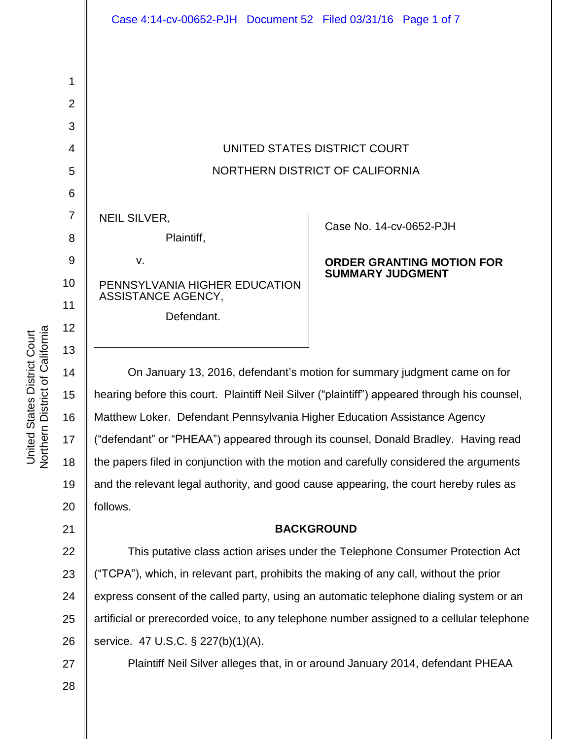

| NEIL SILVER, |            |
|--------------|------------|
|              | Plaintiff, |
| V.           |            |

PENNSYLVANIA HIGHER EDUCATION ASSISTANCE AGENCY,

Defendant.

### Case No. [14-cv-0652-PJH](https://ecf.cand.uscourts.gov/cgi-bin/DktRpt.pl?274437)

#### **ORDER GRANTING MOTION FOR SUMMARY JUDGMENT**

On January 13, 2016, defendant's motion for summary judgment came on for hearing before this court. Plaintiff Neil Silver ("plaintiff") appeared through his counsel, Matthew Loker. Defendant Pennsylvania Higher Education Assistance Agency ("defendant" or "PHEAA") appeared through its counsel, Donald Bradley. Having read the papers filed in conjunction with the motion and carefully considered the arguments and the relevant legal authority, and good cause appearing, the court hereby rules as follows.

## **BACKGROUND**

22 23 24 25 26 This putative class action arises under the Telephone Consumer Protection Act ("TCPA"), which, in relevant part, prohibits the making of any call, without the prior express consent of the called party, using an automatic telephone dialing system or an artificial or prerecorded voice, to any telephone number assigned to a cellular telephone service. 47 U.S.C. § 227(b)(1)(A).

27

Plaintiff Neil Silver alleges that, in or around January 2014, defendant PHEAA

28

1

2

3

4

5

6

7

8

9

10

11

12

13

14

15

16

17

18

19

20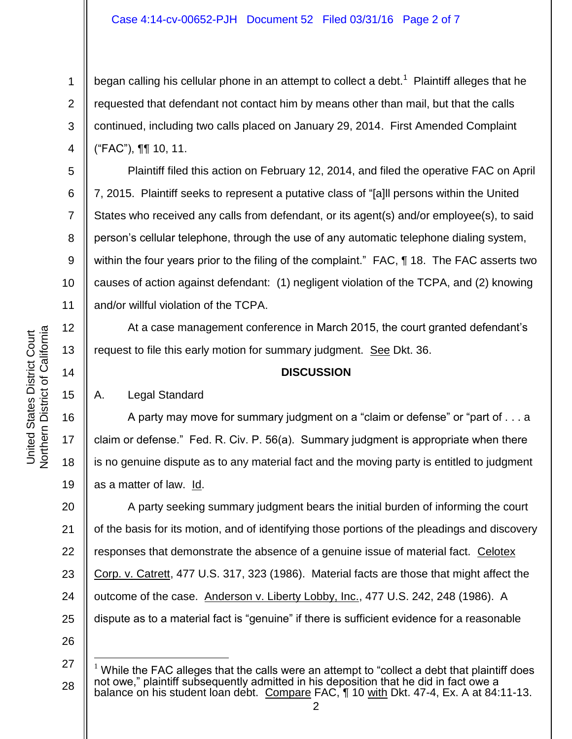began calling his cellular phone in an attempt to collect a debt.<sup>1</sup> Plaintiff alleges that he requested that defendant not contact him by means other than mail, but that the calls continued, including two calls placed on January 29, 2014. First Amended Complaint ("FAC"), ¶¶ 10, 11.

10 Plaintiff filed this action on February 12, 2014, and filed the operative FAC on April 7, 2015. Plaintiff seeks to represent a putative class of "[a]ll persons within the United States who received any calls from defendant, or its agent(s) and/or employee(s), to said person's cellular telephone, through the use of any automatic telephone dialing system, within the four years prior to the filing of the complaint." FAC, ¶ 18. The FAC asserts two causes of action against defendant: (1) negligent violation of the TCPA, and (2) knowing and/or willful violation of the TCPA.

At a case management conference in March 2015, the court granted defendant's request to file this early motion for summary judgment. See Dkt. 36.

# **DISCUSSION**

# A. Legal Standard

16 17 18 19 A party may move for summary judgment on a "claim or defense" or "part of . . . a claim or defense." Fed. R. Civ. P. 56(a). Summary judgment is appropriate when there is no genuine dispute as to any material fact and the moving party is entitled to judgment as a matter of law. Id.

20 21 22 23 24 25 A party seeking summary judgment bears the initial burden of informing the court of the basis for its motion, and of identifying those portions of the pleadings and discovery responses that demonstrate the absence of a genuine issue of material fact. Celotex Corp. v. Catrett, 477 U.S. 317, 323 (1986). Material facts are those that might affect the outcome of the case. Anderson v. Liberty Lobby, Inc., 477 U.S. 242, 248 (1986). A dispute as to a material fact is "genuine" if there is sufficient evidence for a reasonable

1

2

3

4

5

6

7

8

9

11

12

13

14

15

<sup>27</sup> 28 l  $1$  While the FAC alleges that the calls were an attempt to "collect a debt that plaintiff does not owe," plaintiff subsequently admitted in his deposition that he did in fact owe a balance on his student loan debt. Compare FAC, 1 10 with Dkt. 47-4, Ex. A at 84:11-13.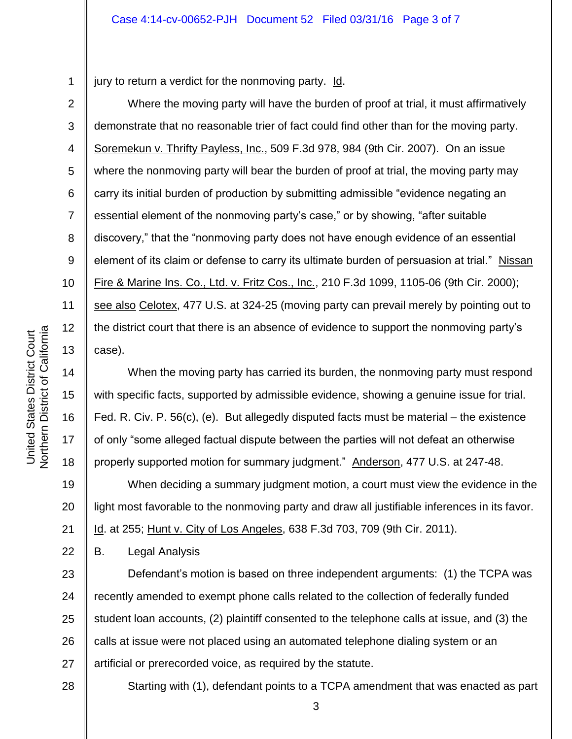1 jury to return a verdict for the nonmoving party. Id.

6 7 8 10 11 12 13 Where the moving party will have the burden of proof at trial, it must affirmatively demonstrate that no reasonable trier of fact could find other than for the moving party. Soremekun v. Thrifty Payless, Inc., 509 F.3d 978, 984 (9th Cir. 2007). On an issue where the nonmoving party will bear the burden of proof at trial, the moving party may carry its initial burden of production by submitting admissible "evidence negating an essential element of the nonmoving party's case," or by showing, "after suitable discovery," that the "nonmoving party does not have enough evidence of an essential element of its claim or defense to carry its ultimate burden of persuasion at trial." Nissan Fire & Marine Ins. Co., Ltd. v. Fritz Cos., Inc., 210 F.3d 1099, 1105-06 (9th Cir. 2000); see also Celotex, 477 U.S. at 324-25 (moving party can prevail merely by pointing out to the district court that there is an absence of evidence to support the nonmoving party's case).

When the moving party has carried its burden, the nonmoving party must respond with specific facts, supported by admissible evidence, showing a genuine issue for trial. Fed. R. Civ. P. 56(c), (e). But allegedly disputed facts must be material – the existence of only "some alleged factual dispute between the parties will not defeat an otherwise properly supported motion for summary judgment." Anderson, 477 U.S. at 247-48.

19 20 21 When deciding a summary judgment motion, a court must view the evidence in the light most favorable to the nonmoving party and draw all justifiable inferences in its favor. Id. at 255; Hunt v. City of Los Angeles, 638 F.3d 703, 709 (9th Cir. 2011).

22 B. Legal Analysis

23 24 25 26 27 Defendant's motion is based on three independent arguments: (1) the TCPA was recently amended to exempt phone calls related to the collection of federally funded student loan accounts, (2) plaintiff consented to the telephone calls at issue, and (3) the calls at issue were not placed using an automated telephone dialing system or an artificial or prerecorded voice, as required by the statute.

28

Starting with (1), defendant points to a TCPA amendment that was enacted as part

3

2

3

4

5

9

14

15

16

17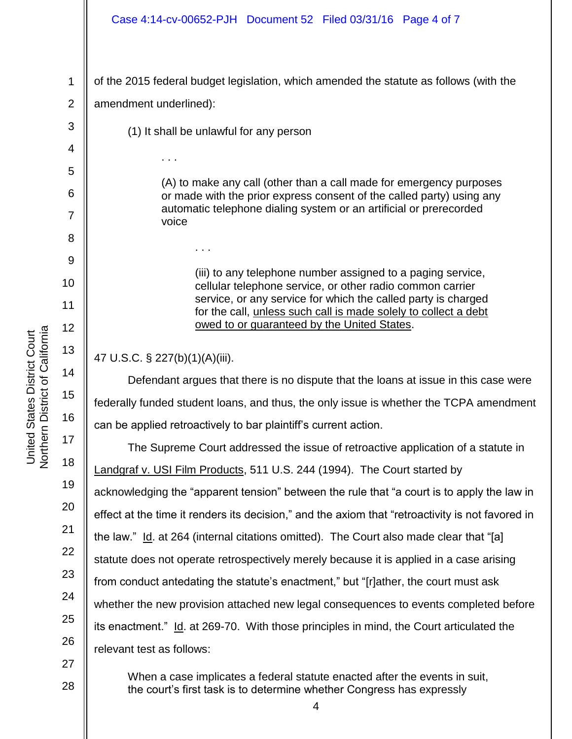#### Case 4:14-cv-00652-PJH Document 52 Filed 03/31/16 Page 4 of 7

1 2 of the 2015 federal budget legislation, which amended the statute as follows (with the amendment underlined):

(1) It shall be unlawful for any person

. . .

(A) to make any call (other than a call made for emergency purposes or made with the prior express consent of the called party) using any automatic telephone dialing system or an artificial or prerecorded voice

> (iii) to any telephone number assigned to a paging service, cellular telephone service, or other radio common carrier service, or any service for which the called party is charged for the call, unless such call is made solely to collect a debt owed to or guaranteed by the United States.

47 U.S.C. § 227(b)(1)(A)(iii).

. . .

Defendant argues that there is no dispute that the loans at issue in this case were federally funded student loans, and thus, the only issue is whether the TCPA amendment can be applied retroactively to bar plaintiff's current action.

The Supreme Court addressed the issue of retroactive application of a statute in Landgraf v. USI Film Products, 511 U.S. 244 (1994). The Court started by acknowledging the "apparent tension" between the rule that "a court is to apply the law in effect at the time it renders its decision," and the axiom that "retroactivity is not favored in the law." Id. at 264 (internal citations omitted). The Court also made clear that "[a] statute does not operate retrospectively merely because it is applied in a case arising from conduct antedating the statute's enactment," but "[r]ather, the court must ask whether the new provision attached new legal consequences to events completed before its enactment." Id. at 269-70. With those principles in mind, the Court articulated the relevant test as follows:

When a case implicates a federal statute enacted after the events in suit, the court's first task is to determine whether Congress has expressly

3

4

5

6

7

8

9

10

11

12

13

14

15

16

17

18

19

20

21

22

23

24

25

26

27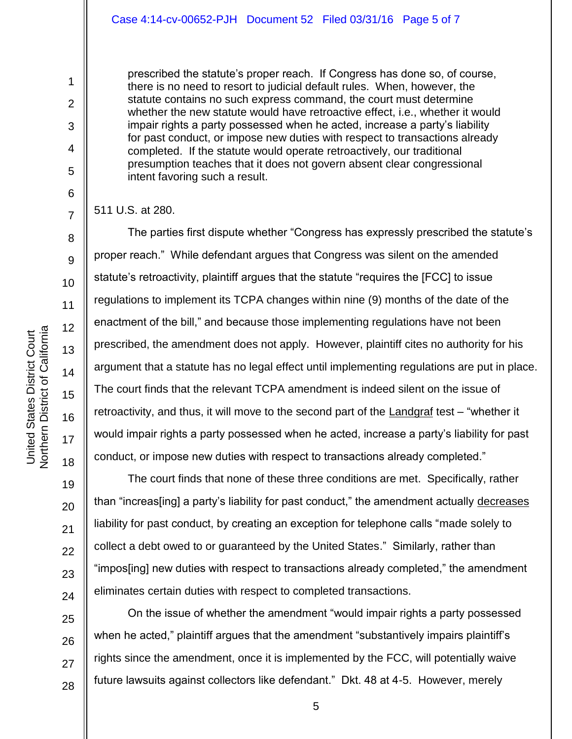prescribed the statute's proper reach. If Congress has done so, of course, there is no need to resort to judicial default rules. When, however, the statute contains no such express command, the court must determine whether the new statute would have retroactive effect, i.e., whether it would impair rights a party possessed when he acted, increase a party's liability for past conduct, or impose new duties with respect to transactions already completed. If the statute would operate retroactively, our traditional presumption teaches that it does not govern absent clear congressional intent favoring such a result.

511 U.S. at 280.

1

2

3

4

5

6

7

8

9

10

11

12

13

14

15

16

17

18

19

20

21

22

23

24

25

26

27

28

The parties first dispute whether "Congress has expressly prescribed the statute's proper reach." While defendant argues that Congress was silent on the amended statute's retroactivity, plaintiff argues that the statute "requires the [FCC] to issue regulations to implement its TCPA changes within nine (9) months of the date of the enactment of the bill," and because those implementing regulations have not been prescribed, the amendment does not apply. However, plaintiff cites no authority for his argument that a statute has no legal effect until implementing regulations are put in place. The court finds that the relevant TCPA amendment is indeed silent on the issue of retroactivity, and thus, it will move to the second part of the Landgraf test – "whether it would impair rights a party possessed when he acted, increase a party's liability for past conduct, or impose new duties with respect to transactions already completed."

The court finds that none of these three conditions are met. Specifically, rather than "increas[ing] a party's liability for past conduct," the amendment actually decreases liability for past conduct, by creating an exception for telephone calls "made solely to collect a debt owed to or guaranteed by the United States." Similarly, rather than "impos[ing] new duties with respect to transactions already completed," the amendment eliminates certain duties with respect to completed transactions.

On the issue of whether the amendment "would impair rights a party possessed when he acted," plaintiff argues that the amendment "substantively impairs plaintiff's rights since the amendment, once it is implemented by the FCC, will potentially waive future lawsuits against collectors like defendant." Dkt. 48 at 4-5. However, merely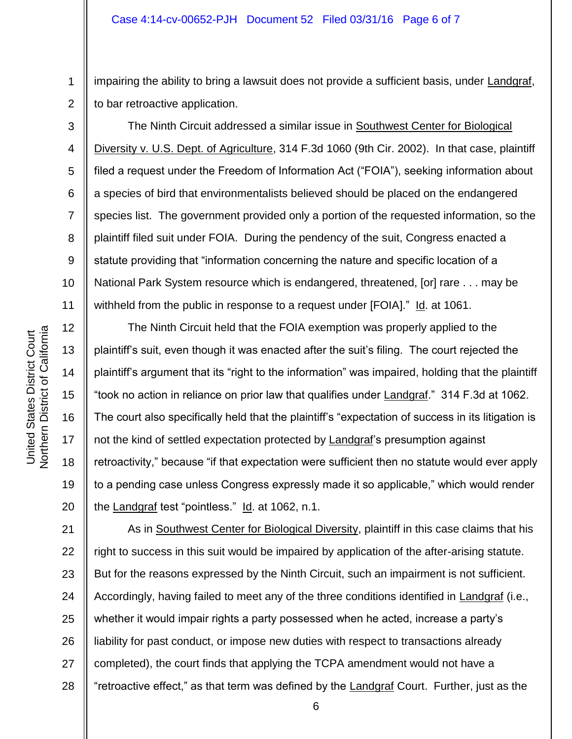1 2 impairing the ability to bring a lawsuit does not provide a sufficient basis, under Landgraf, to bar retroactive application.

The Ninth Circuit addressed a similar issue in Southwest Center for Biological Diversity v. U.S. Dept. of Agriculture, 314 F.3d 1060 (9th Cir. 2002). In that case, plaintiff filed a request under the Freedom of Information Act ("FOIA"), seeking information about a species of bird that environmentalists believed should be placed on the endangered species list. The government provided only a portion of the requested information, so the plaintiff filed suit under FOIA. During the pendency of the suit, Congress enacted a statute providing that "information concerning the nature and specific location of a National Park System resource which is endangered, threatened, [or] rare . . . may be withheld from the public in response to a request under [FOIA]." Id. at 1061.

12 13 14 15 16 17 18 19 20 The Ninth Circuit held that the FOIA exemption was properly applied to the plaintiff's suit, even though it was enacted after the suit's filing. The court rejected the plaintiff's argument that its "right to the information" was impaired, holding that the plaintiff "took no action in reliance on prior law that qualifies under Landgraf." 314 F.3d at 1062. The court also specifically held that the plaintiff's "expectation of success in its litigation is not the kind of settled expectation protected by Landgraf's presumption against retroactivity," because "if that expectation were sufficient then no statute would ever apply to a pending case unless Congress expressly made it so applicable," which would render the Landgraf test "pointless." Id. at 1062, n.1.

21 22 23 24 25 26 27 28 As in Southwest Center for Biological Diversity, plaintiff in this case claims that his right to success in this suit would be impaired by application of the after-arising statute. But for the reasons expressed by the Ninth Circuit, such an impairment is not sufficient. Accordingly, having failed to meet any of the three conditions identified in Landgraf (i.e., whether it would impair rights a party possessed when he acted, increase a party's liability for past conduct, or impose new duties with respect to transactions already completed), the court finds that applying the TCPA amendment would not have a "retroactive effect," as that term was defined by the Landgraf Court. Further, just as the

3

4

5

6

7

8

9

10

11